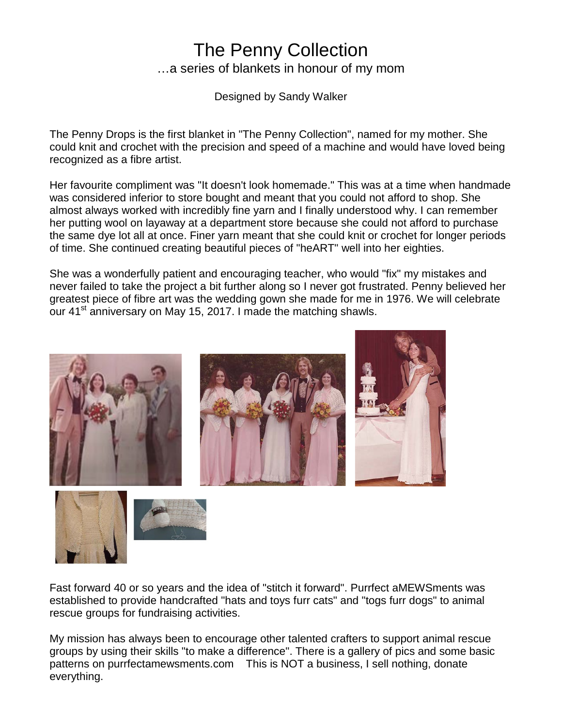## The Penny Collection …a series of blankets in honour of my mom

Designed by Sandy Walker

The Penny Drops is the first blanket in "The Penny Collection", named for my mother. She could knit and crochet with the precision and speed of a machine and would have loved being recognized as a fibre artist.

Her favourite compliment was "It doesn't look homemade." This was at a time when handmade was considered inferior to store bought and meant that you could not afford to shop. She almost always worked with incredibly fine yarn and I finally understood why. I can remember her putting wool on layaway at a department store because she could not afford to purchase the same dye lot all at once. Finer yarn meant that she could knit or crochet for longer periods of time. She continued creating beautiful pieces of "heART" well into her eighties.

She was a wonderfully patient and encouraging teacher, who would "fix" my mistakes and never failed to take the project a bit further along so I never got frustrated. Penny believed her greatest piece of fibre art was the wedding gown she made for me in 1976. We will celebrate our 41<sup>st</sup> anniversary on May 15, 2017. I made the matching shawls.





Fast forward 40 or so years and the idea of "stitch it forward". Purrfect aMEWSments was established to provide handcrafted "hats and toys furr cats" and "togs furr dogs" to animal rescue groups for fundraising activities.

My mission has always been to encourage other talented crafters to support animal rescue groups by using their skills "to make a difference". There is a gallery of pics and some basic patterns on purrfectamewsments.com This is NOT a business, I sell nothing, donate everything.